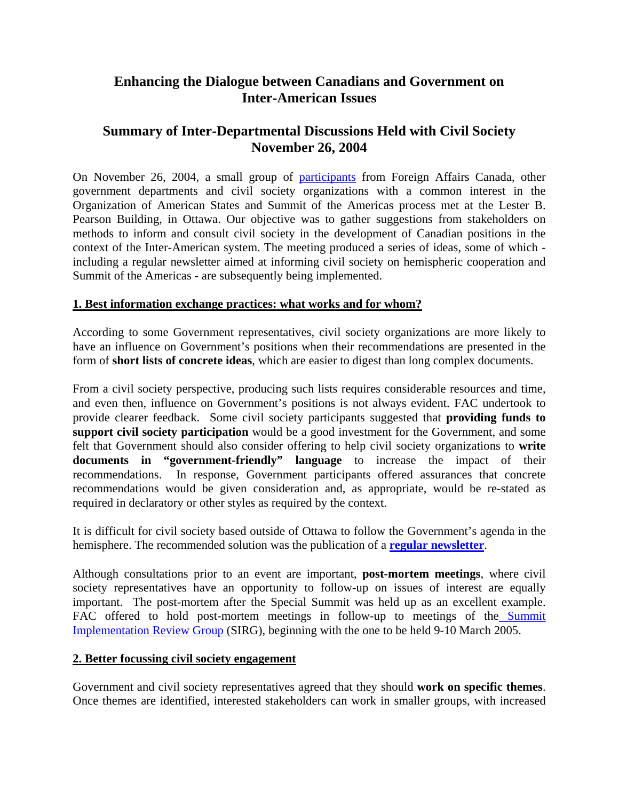# **Enhancing the Dialogue between Canadians and Government on Inter-American Issues**

# **Summary of Inter-Departmental Discussions Held with Civil Society November 26, 2004**

On November 26, 2004, a small group of participants from Foreign Affairs Canada, other government departments and civil society organizations with a common interest in the Organization of American States and Summit of the Americas process met at the Lester B. Pearson Building, in Ottawa. Our objective was to gather suggestions from stakeholders on methods to inform and consult civil society in the development of Canadian positions in the context of the Inter-American system. The meeting produced a series of ideas, some of which including a regular newsletter aimed at informing civil society on hemispheric cooperation and Summit of the Americas - are subsequently being implemented.

## **1. Best information exchange practices: what works and for whom?**

According to some Government representatives, civil society organizations are more likely to have an influence on Government's positions when their recommendations are presented in the form of **short lists of concrete ideas**, which are easier to digest than long complex documents.

From a civil society perspective, producing such lists requires considerable resources and time, and even then, influence on Government's positions is not always evident. FAC undertook to provide clearer feedback. Some civil society participants suggested that **providing funds to support civil society participation** would be a good investment for the Government, and some felt that Government should also consider offering to help civil society organizations to **write documents in "government-friendly" language** to increase the impact of their recommendations. In response, Government participants offered assurances that concrete recommendations would be given consideration and, as appropriate, would be re-stated as required in declaratory or other styles as required by the context.

It is difficult for civil society based outside of Ottawa to follow the Government's agenda in the hemisphere. The recommended solution was the publication of a **regular newsletter**.

Although consultations prior to an event are important, **post-mortem meetings**, where civil society representatives have an opportunity to follow-up on issues of interest are equally important. The post-mortem after the Special Summit was held up as an excellent example. FAC offered to hold post-mortem meetings in follow-up to meetings of the Summit Implementation Review Group (SIRG), beginning with the one to be held 9-10 March 2005.

#### **2. Better focussing civil society engagement**

Government and civil society representatives agreed that they should **work on specific themes**. Once themes are identified, interested stakeholders can work in smaller groups, with increased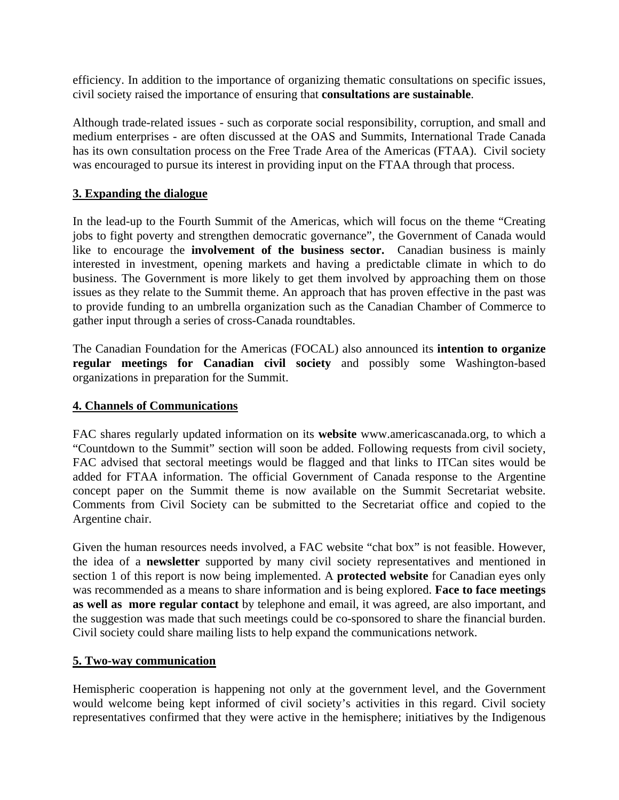efficiency. In addition to the importance of organizing thematic consultations on specific issues, civil society raised the importance of ensuring that **consultations are sustainable**.

Although trade-related issues - such as corporate social responsibility, corruption, and small and medium enterprises - are often discussed at the OAS and Summits, International Trade Canada has its own consultation process on the Free Trade Area of the Americas (FTAA). Civil society was encouraged to pursue its interest in providing input on the FTAA through that process.

## **3. Expanding the dialogue**

In the lead-up to the Fourth Summit of the Americas, which will focus on the theme "Creating jobs to fight poverty and strengthen democratic governance", the Government of Canada would like to encourage the **involvement of the business sector.** Canadian business is mainly interested in investment, opening markets and having a predictable climate in which to do business. The Government is more likely to get them involved by approaching them on those issues as they relate to the Summit theme. An approach that has proven effective in the past was to provide funding to an umbrella organization such as the Canadian Chamber of Commerce to gather input through a series of cross-Canada roundtables.

The Canadian Foundation for the Americas (FOCAL) also announced its **intention to organize regular meetings for Canadian civil society** and possibly some Washington-based organizations in preparation for the Summit.

### **4. Channels of Communications**

FAC shares regularly updated information on its **website** www.americascanada.org, to which a "Countdown to the Summit" section will soon be added. Following requests from civil society, FAC advised that sectoral meetings would be flagged and that links to ITCan sites would be added for FTAA information. The official Government of Canada response to the Argentine concept paper on the Summit theme is now available on the Summit Secretariat website. Comments from Civil Society can be submitted to the Secretariat office and copied to the Argentine chair.

Given the human resources needs involved, a FAC website "chat box" is not feasible. However, the idea of a **newsletter** supported by many civil society representatives and mentioned in section 1 of this report is now being implemented. A **protected website** for Canadian eyes only was recommended as a means to share information and is being explored. **Face to face meetings as well as more regular contact** by telephone and email, it was agreed, are also important, and the suggestion was made that such meetings could be co-sponsored to share the financial burden. Civil society could share mailing lists to help expand the communications network.

#### **5. Two-way communication**

Hemispheric cooperation is happening not only at the government level, and the Government would welcome being kept informed of civil society's activities in this regard. Civil society representatives confirmed that they were active in the hemisphere; initiatives by the Indigenous